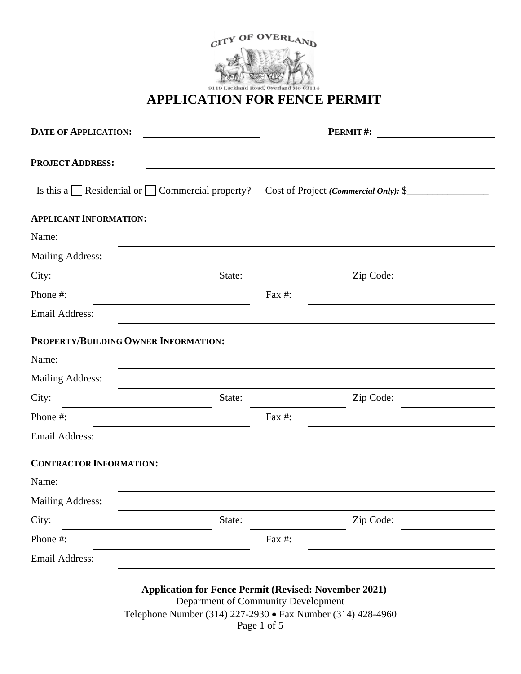

# **APPLICATION FOR FENCE PERMIT**

| <b>DATE OF APPLICATION:</b>                          |        | PERMIT#:<br><u> 1980 - Jan Barat, prima prima prima prima prima prima prima prima prima prima prima prima prima prima prima p</u>                                                 |  |  |  |  |
|------------------------------------------------------|--------|-----------------------------------------------------------------------------------------------------------------------------------------------------------------------------------|--|--|--|--|
| <b>PROJECT ADDRESS:</b>                              |        |                                                                                                                                                                                   |  |  |  |  |
| Is this a Residential or $\Box$ Commercial property? |        | Cost of Project (Commercial Only): \$                                                                                                                                             |  |  |  |  |
| <b>APPLICANT INFORMATION:</b>                        |        |                                                                                                                                                                                   |  |  |  |  |
| Name:                                                |        |                                                                                                                                                                                   |  |  |  |  |
| <b>Mailing Address:</b>                              |        |                                                                                                                                                                                   |  |  |  |  |
| City:                                                | State: | Zip Code:                                                                                                                                                                         |  |  |  |  |
| Phone #:                                             |        | Fax #:                                                                                                                                                                            |  |  |  |  |
| <b>Email Address:</b>                                |        |                                                                                                                                                                                   |  |  |  |  |
| PROPERTY/BUILDING OWNER INFORMATION:                 |        |                                                                                                                                                                                   |  |  |  |  |
| Name:                                                |        |                                                                                                                                                                                   |  |  |  |  |
| <b>Mailing Address:</b>                              |        |                                                                                                                                                                                   |  |  |  |  |
| City:                                                | State: | Zip Code:                                                                                                                                                                         |  |  |  |  |
| Phone #:                                             |        | Fax #:                                                                                                                                                                            |  |  |  |  |
| <b>Email Address:</b>                                |        |                                                                                                                                                                                   |  |  |  |  |
| <b>CONTRACTOR INFORMATION:</b>                       |        |                                                                                                                                                                                   |  |  |  |  |
| Name:                                                |        |                                                                                                                                                                                   |  |  |  |  |
| <b>Mailing Address:</b>                              |        |                                                                                                                                                                                   |  |  |  |  |
| City:                                                | State: | Zip Code:                                                                                                                                                                         |  |  |  |  |
| Phone #:                                             |        | Fax #:                                                                                                                                                                            |  |  |  |  |
| <b>Email Address:</b>                                |        |                                                                                                                                                                                   |  |  |  |  |
|                                                      |        | <b>Application for Fence Permit (Revised: November 2021)</b><br>Department of Community Development<br>Telephone Number (314) 227-2930 • Fax Number (314) 428-4960<br>Page 1 of 5 |  |  |  |  |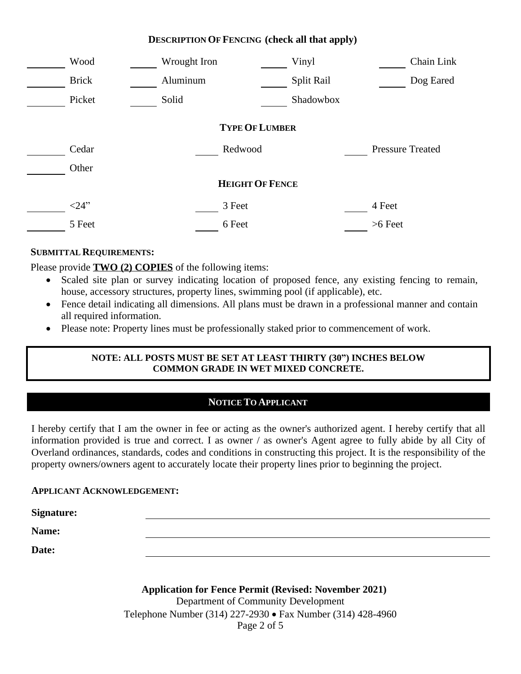|                        | Wood         |  | Wrought Iron |         |  | Vinyl      |  | Chain Link              |
|------------------------|--------------|--|--------------|---------|--|------------|--|-------------------------|
|                        | <b>Brick</b> |  | Aluminum     |         |  | Split Rail |  | Dog Eared               |
|                        | Picket       |  | Solid        |         |  | Shadowbox  |  |                         |
| <b>TYPE OF LUMBER</b>  |              |  |              |         |  |            |  |                         |
|                        | Cedar        |  |              | Redwood |  |            |  | <b>Pressure Treated</b> |
|                        | Other        |  |              |         |  |            |  |                         |
| <b>HEIGHT OF FENCE</b> |              |  |              |         |  |            |  |                         |
|                        | <24"         |  |              | 3 Feet  |  |            |  | 4 Feet                  |
|                        | 5 Feet       |  |              | 6 Feet  |  |            |  | $>6$ Feet               |
|                        |              |  |              |         |  |            |  |                         |

#### **SUBMITTAL REQUIREMENTS:**

Please provide **TWO (2) COPIES** of the following items:

- Scaled site plan or survey indicating location of proposed fence, any existing fencing to remain, house, accessory structures, property lines, swimming pool (if applicable), etc.
- Fence detail indicating all dimensions. All plans must be drawn in a professional manner and contain all required information.
- · Please note: Property lines must be professionally staked prior to commencement of work.

#### **NOTE: ALL POSTS MUST BE SET AT LEAST THIRTY (30") INCHES BELOW COMMON GRADE IN WET MIXED CONCRETE.**

## **NOTICE TO APPLICANT**

I hereby certify that I am the owner in fee or acting as the owner's authorized agent. I hereby certify that all information provided is true and correct. I as owner / as owner's Agent agree to fully abide by all City of Overland ordinances, standards, codes and conditions in constructing this project. It is the responsibility of the property owners/owners agent to accurately locate their property lines prior to beginning the project.

#### **APPLICANT ACKNOWLEDGEMENT:**

**Signature:**

**Name:**

**Date:**

**Application for Fence Permit (Revised: November 2021)** Department of Community Development Telephone Number (314) 227-2930 • Fax Number (314) 428-4960 Page 2 of 5

#### **DESCRIPTION OF FENCING (check all that apply)**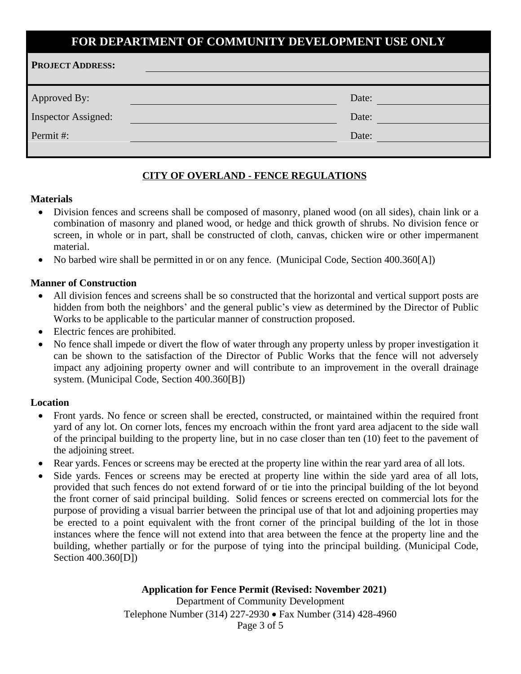## **FOR DEPARTMENT OF COMMUNITY DEVELOPMENT USE ONLY**

| <b>PROJECT ADDRESS:</b>    |       |  |
|----------------------------|-------|--|
|                            |       |  |
| Approved By:               | Date: |  |
| <b>Inspector Assigned:</b> | Date: |  |
| Permit#:                   | Date: |  |
|                            |       |  |

#### **CITY OF OVERLAND - FENCE REGULATIONS**

#### **Materials**

- · Division fences and screens shall be composed of masonry, planed wood (on all sides), chain link or a combination of masonry and planed wood, or hedge and thick growth of shrubs. No division fence or screen, in whole or in part, shall be constructed of cloth, canvas, chicken wire or other impermanent material.
- No barbed wire shall be permitted in or on any fence. (Municipal Code, Section 400.360[A])

#### **Manner of Construction**

- All division fences and screens shall be so constructed that the horizontal and vertical support posts are hidden from both the neighbors' and the general public's view as determined by the Director of Public Works to be applicable to the particular manner of construction proposed.
- Electric fences are prohibited.
- · No fence shall impede or divert the flow of water through any property unless by proper investigation it can be shown to the satisfaction of the Director of Public Works that the fence will not adversely impact any adjoining property owner and will contribute to an improvement in the overall drainage system. (Municipal Code, Section 400.360[B])

#### **Location**

- Front yards. No fence or screen shall be erected, constructed, or maintained within the required front yard of any lot. On corner lots, fences my encroach within the front yard area adjacent to the side wall of the principal building to the property line, but in no case closer than ten (10) feet to the pavement of the adjoining street.
- Rear yards. Fences or screens may be erected at the property line within the rear yard area of all lots.
- Side yards. Fences or screens may be erected at property line within the side yard area of all lots, provided that such fences do not extend forward of or tie into the principal building of the lot beyond the front corner of said principal building. Solid fences or screens erected on commercial lots for the purpose of providing a visual barrier between the principal use of that lot and adjoining properties may be erected to a point equivalent with the front corner of the principal building of the lot in those instances where the fence will not extend into that area between the fence at the property line and the building, whether partially or for the purpose of tying into the principal building. (Municipal Code, Section 400.360[D])

#### **Application for Fence Permit (Revised: November 2021)** Department of Community Development Telephone Number (314) 227-2930 • Fax Number (314) 428-4960 Page 3 of 5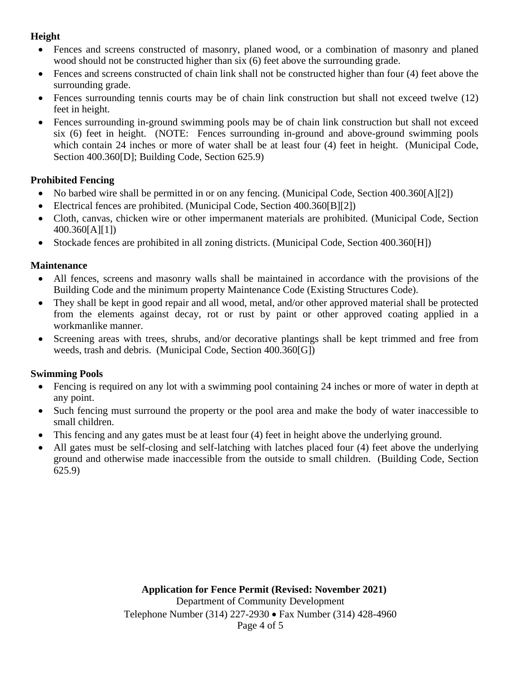## **Height**

- · Fences and screens constructed of masonry, planed wood, or a combination of masonry and planed wood should not be constructed higher than six (6) feet above the surrounding grade.
- Fences and screens constructed of chain link shall not be constructed higher than four (4) feet above the surrounding grade.
- Fences surrounding tennis courts may be of chain link construction but shall not exceed twelve (12) feet in height.
- Fences surrounding in-ground swimming pools may be of chain link construction but shall not exceed six (6) feet in height. (NOTE: Fences surrounding in-ground and above-ground swimming pools which contain 24 inches or more of water shall be at least four (4) feet in height. (Municipal Code, Section 400.360[D]; Building Code, Section 625.9)

## **Prohibited Fencing**

- No barbed wire shall be permitted in or on any fencing. (Municipal Code, Section 400.360[A][2])
- Electrical fences are prohibited. (Municipal Code, Section 400.360[B][2])
- · Cloth, canvas, chicken wire or other impermanent materials are prohibited. (Municipal Code, Section 400.360[A][1])
- Stockade fences are prohibited in all zoning districts. (Municipal Code, Section 400.360[H])

## **Maintenance**

- All fences, screens and masonry walls shall be maintained in accordance with the provisions of the Building Code and the minimum property Maintenance Code (Existing Structures Code).
- They shall be kept in good repair and all wood, metal, and/or other approved material shall be protected from the elements against decay, rot or rust by paint or other approved coating applied in a workmanlike manner.
- · Screening areas with trees, shrubs, and/or decorative plantings shall be kept trimmed and free from weeds, trash and debris. (Municipal Code, Section 400.360[G])

## **Swimming Pools**

- Fencing is required on any lot with a swimming pool containing 24 inches or more of water in depth at any point.
- Such fencing must surround the property or the pool area and make the body of water inaccessible to small children.
- This fencing and any gates must be at least four (4) feet in height above the underlying ground.
- All gates must be self-closing and self-latching with latches placed four (4) feet above the underlying ground and otherwise made inaccessible from the outside to small children. (Building Code, Section 625.9)